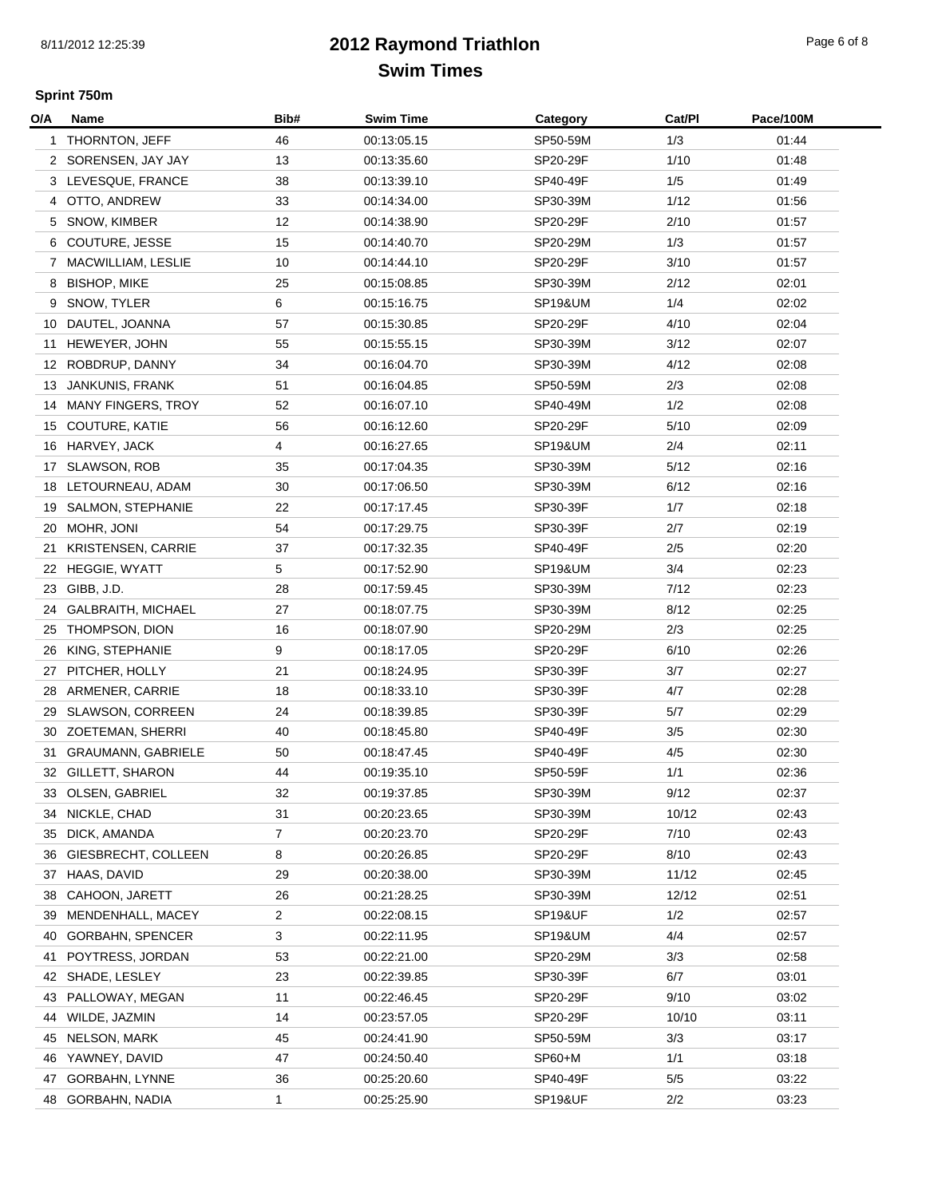## **2012 Raymond TriathlonSwim Times**

## **Sprint 750m**

| O/A | Name                      | Bib#           | <b>Swim Time</b> | Category           | Cat/PI | Pace/100M |
|-----|---------------------------|----------------|------------------|--------------------|--------|-----------|
|     | 1 THORNTON, JEFF          | 46             | 00:13:05.15      | SP50-59M           | 1/3    | 01:44     |
|     | 2 SORENSEN, JAY JAY       | 13             | 00:13:35.60      | SP20-29F           | 1/10   | 01:48     |
|     | 3 LEVESQUE, FRANCE        | 38             | 00:13:39.10      | SP40-49F           | 1/5    | 01:49     |
|     | 4 OTTO, ANDREW            | 33             | 00:14:34.00      | SP30-39M           | 1/12   | 01:56     |
| 5   | SNOW, KIMBER              | 12             | 00:14:38.90      | SP20-29F           | 2/10   | 01:57     |
| 6   | COUTURE, JESSE            | 15             | 00:14:40.70      | SP20-29M           | 1/3    | 01:57     |
|     | 7 MACWILLIAM, LESLIE      | 10             | 00:14:44.10      | SP20-29F           | 3/10   | 01:57     |
| 8   | <b>BISHOP, MIKE</b>       | 25             | 00:15:08.85      | SP30-39M           | 2/12   | 02:01     |
| 9   | SNOW, TYLER               | 6              | 00:15:16.75      | SP19&UM            | 1/4    | 02:02     |
| 10  | DAUTEL, JOANNA            | 57             | 00:15:30.85      | SP20-29F           | 4/10   | 02:04     |
| 11  | HEWEYER, JOHN             | 55             | 00:15:55.15      | SP30-39M           | 3/12   | 02:07     |
| 12  | ROBDRUP, DANNY            | 34             | 00:16:04.70      | SP30-39M           | 4/12   | 02:08     |
| 13  | JANKUNIS, FRANK           | 51             | 00:16:04.85      | SP50-59M           | 2/3    | 02:08     |
| 14  | <b>MANY FINGERS, TROY</b> | 52             | 00:16:07.10      | SP40-49M           | 1/2    | 02:08     |
| 15  | <b>COUTURE, KATIE</b>     | 56             | 00:16:12.60      | SP20-29F           | 5/10   | 02:09     |
| 16  | HARVEY, JACK              | 4              | 00:16:27.65      | SP19&UM            | 2/4    | 02:11     |
| 17  | SLAWSON, ROB              | 35             | 00:17:04.35      | SP30-39M           | 5/12   | 02:16     |
| 18  | LETOURNEAU, ADAM          | 30             | 00:17:06.50      | SP30-39M           | 6/12   | 02:16     |
| 19  | SALMON, STEPHANIE         | 22             | 00:17:17.45      | SP30-39F           | 1/7    | 02:18     |
| 20  | MOHR, JONI                | 54             | 00:17:29.75      | SP30-39F           | 2/7    | 02:19     |
| 21  | KRISTENSEN, CARRIE        | 37             | 00:17:32.35      | SP40-49F           | 2/5    | 02:20     |
|     | 22 HEGGIE, WYATT          | 5              | 00:17:52.90      | <b>SP19&amp;UM</b> | 3/4    | 02:23     |
| 23  | GIBB, J.D.                | 28             | 00:17:59.45      | SP30-39M           | 7/12   | 02:23     |
| 24  | <b>GALBRAITH, MICHAEL</b> | 27             | 00:18:07.75      | SP30-39M           | 8/12   | 02:25     |
| 25  | THOMPSON, DION            | 16             | 00:18:07.90      | SP20-29M           | 2/3    | 02:25     |
| 26  | KING, STEPHANIE           | 9              | 00:18:17.05      | SP20-29F           | 6/10   | 02:26     |
| 27  | PITCHER, HOLLY            | 21             | 00:18:24.95      | SP30-39F           | 3/7    | 02:27     |
| 28  | ARMENER, CARRIE           | 18             | 00:18:33.10      | SP30-39F           | 4/7    | 02:28     |
| 29  | <b>SLAWSON, CORREEN</b>   | 24             | 00:18:39.85      | SP30-39F           | 5/7    | 02:29     |
| 30  | ZOETEMAN, SHERRI          | 40             | 00:18:45.80      | SP40-49F           | 3/5    | 02:30     |
| 31  | <b>GRAUMANN, GABRIELE</b> | 50             | 00:18:47.45      | SP40-49F           | 4/5    | 02:30     |
|     | 32 GILLETT, SHARON        | 44             | 00:19:35.10      | SP50-59F           | 1/1    | 02:36     |
| 33  | OLSEN, GABRIEL            | 32             | 00:19:37.85      | SP30-39M           | 9/12   | 02:37     |
| 34  | NICKLE, CHAD              | 31             | 00:20:23.65      | SP30-39M           | 10/12  | 02:43     |
| 35  | DICK, AMANDA              | $\overline{7}$ | 00:20:23.70      | SP20-29F           | 7/10   | 02:43     |
| 36  | GIESBRECHT, COLLEEN       | 8              | 00:20:26.85      | SP20-29F           | 8/10   | 02:43     |
| 37  | HAAS, DAVID               | 29             | 00:20:38.00      | SP30-39M           | 11/12  | 02:45     |
| 38  | CAHOON, JARETT            | 26             | 00:21:28.25      | SP30-39M           | 12/12  | 02:51     |
| 39  | MENDENHALL, MACEY         | $\overline{2}$ | 00:22:08.15      | <b>SP19&amp;UF</b> | 1/2    | 02:57     |
| 40  | <b>GORBAHN, SPENCER</b>   | 3              | 00:22:11.95      | <b>SP19&amp;UM</b> | 4/4    | 02:57     |
| 41  | POYTRESS, JORDAN          | 53             | 00:22:21.00      | SP20-29M           | 3/3    | 02:58     |
| 42  | SHADE, LESLEY             | 23             | 00:22:39.85      | SP30-39F           | 6/7    | 03:01     |
| 43  | PALLOWAY, MEGAN           | 11             | 00:22:46.45      | SP20-29F           | 9/10   | 03:02     |
| 44  | WILDE, JAZMIN             | 14             | 00:23:57.05      | SP20-29F           | 10/10  | 03:11     |
| 45  | NELSON, MARK              | 45             | 00:24:41.90      | SP50-59M           | 3/3    | 03:17     |
| 46  | YAWNEY, DAVID             | 47             | 00:24:50.40      | SP60+M             | 1/1    | 03:18     |
| 47  | GORBAHN, LYNNE            | 36             | 00:25:20.60      | SP40-49F           | 5/5    | 03:22     |
|     | 48 GORBAHN, NADIA         | 1              | 00:25:25.90      | SP19&UF            | 2/2    | 03:23     |